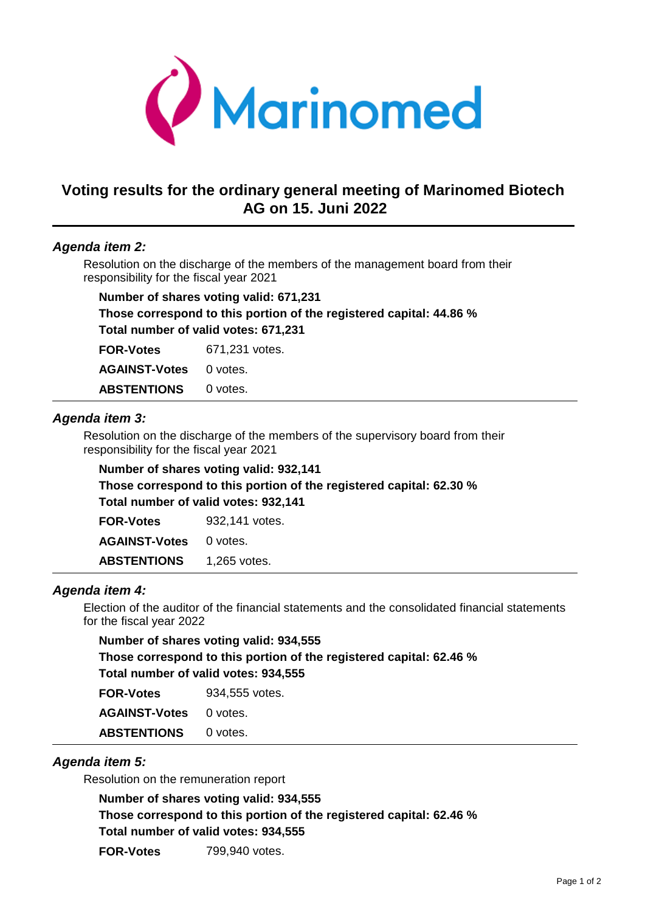

# **Voting results for the ordinary general meeting of Marinomed Biotech AG on 15. Juni 2022**

### *Agenda item 2:*

 Resolution on the discharge of the members of the management board from their responsibility for the fiscal year 2021

| Number of shares voting valid: 671,231                              |                |  |
|---------------------------------------------------------------------|----------------|--|
| Those correspond to this portion of the registered capital: 44.86 % |                |  |
| Total number of valid votes: 671,231                                |                |  |
| <b>FOR-Votes</b>                                                    | 671,231 votes. |  |
| <b>AGAINST-Votes</b>                                                | 0 votes.       |  |
| <b>ABSTENTIONS</b>                                                  | 0 votes.       |  |

### *Agenda item 3:*

Resolution on the discharge of the members of the supervisory board from their responsibility for the fiscal year 2021

**Number of shares voting valid: 932,141 Those correspond to this portion of the registered capital: 62.30 % Total number of valid votes: 932,141 FOR-Votes** 932,141 votes.

**AGAINST-Votes** 0 votes. ABSTENTIONS 1,265 votes.

#### *Agenda item 4:*

Election of the auditor of the financial statements and the consolidated financial statements for the fiscal year 2022

| Number of shares voting valid: 934,555                              |                |  |
|---------------------------------------------------------------------|----------------|--|
| Those correspond to this portion of the registered capital: 62.46 % |                |  |
| Total number of valid votes: 934,555                                |                |  |
| <b>FOR-Votes</b>                                                    | 934.555 votes. |  |
| <b>AGAINST-Votes</b>                                                | 0 votes.       |  |
| <b>ABSTENTIONS</b>                                                  | 0 votes.       |  |

# *Agenda item 5:*

Resolution on the remuneration report

**Number of shares voting valid: 934,555**

**Those correspond to this portion of the registered capital: 62.46 %**

**Total number of valid votes: 934,555**

**FOR-Votes** 799,940 votes.